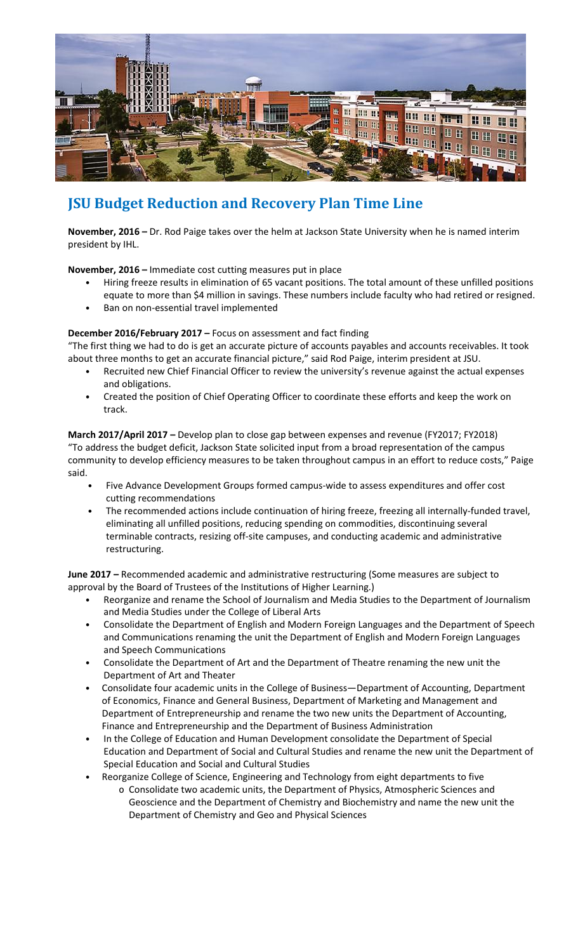

## **JSU Budget Reduction and Recovery Plan Time Line**

**November, 2016 –** Dr. Rod Paige takes over the helm at Jackson State University when he is named interim president by IHL.

**November, 2016 –** Immediate cost cutting measures put in place

- Hiring freeze results in elimination of 65 vacant positions. The total amount of these unfilled positions equate to more than \$4 million in savings. These numbers include faculty who had retired or resigned.
- Ban on non-essential travel implemented

## **December 2016/February 2017 –** Focus on assessment and fact finding

"The first thing we had to do is get an accurate picture of accounts payables and accounts receivables. It took about three months to get an accurate financial picture," said Rod Paige, interim president at JSU.

- Recruited new Chief Financial Officer to review the university's revenue against the actual expenses and obligations.
- Created the position of Chief Operating Officer to coordinate these efforts and keep the work on track.

**March 2017/April 2017 –** Develop plan to close gap between expenses and revenue (FY2017; FY2018) "To address the budget deficit, Jackson State solicited input from a broad representation of the campus community to develop efficiency measures to be taken throughout campus in an effort to reduce costs," Paige said.

- Five Advance Development Groups formed campus-wide to assess expenditures and offer cost cutting recommendations
- The recommended actions include continuation of hiring freeze, freezing all internally-funded travel, eliminating all unfilled positions, reducing spending on commodities, discontinuing several terminable contracts, resizing off-site campuses, and conducting academic and administrative restructuring.

**June 2017 –** Recommended academic and administrative restructuring (Some measures are subject to approval by the Board of Trustees of the Institutions of Higher Learning.)

- Reorganize and rename the School of Journalism and Media Studies to the Department of Journalism and Media Studies under the College of Liberal Arts
- Consolidate the Department of English and Modern Foreign Languages and the Department of Speech and Communications renaming the unit the Department of English and Modern Foreign Languages and Speech Communications
- Consolidate the Department of Art and the Department of Theatre renaming the new unit the Department of Art and Theater
- Consolidate four academic units in the College of Business—Department of Accounting, Department of Economics, Finance and General Business, Department of Marketing and Management and Department of Entrepreneurship and rename the two new units the Department of Accounting, Finance and Entrepreneurship and the Department of Business Administration
- In the College of Education and Human Development consolidate the Department of Special Education and Department of Social and Cultural Studies and rename the new unit the Department of Special Education and Social and Cultural Studies
	- Reorganize College of Science, Engineering and Technology from eight departments to five o Consolidate two academic units, the Department of Physics, Atmospheric Sciences and Geoscience and the Department of Chemistry and Biochemistry and name the new unit the Department of Chemistry and Geo and Physical Sciences